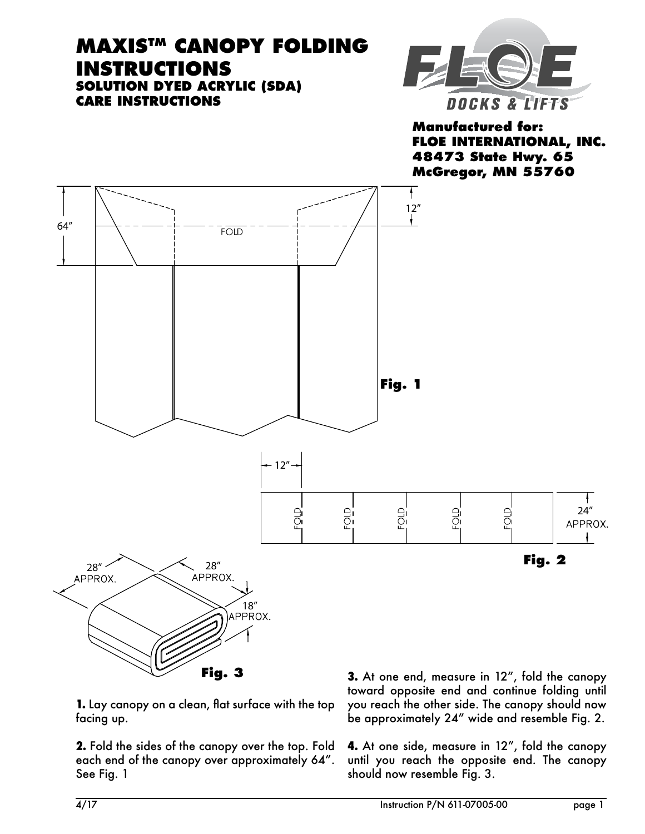## **MAXISTM Canopy Folding Instructions Solution Dyed ACRYLIC (SDA) Care Instructions**



**Manufactured for: FLOE INTERNATIONAL, INC. 48473 State Hwy. 65 McGregor, MN 55760**



**1.** Lay canopy on a clean, flat surface with the top facing up.

**Fig. 3**

**2.** Fold the sides of the canopy over the top. Fold each end of the canopy over approximately 64". See Fig. 1

**3.** At one end, measure in 12", fold the canopy toward opposite end and continue folding until you reach the other side. The canopy should now be approximately 24" wide and resemble Fig. 2.

**4.** At one side, measure in 12", fold the canopy until you reach the opposite end. The canopy should now resemble Fig. 3.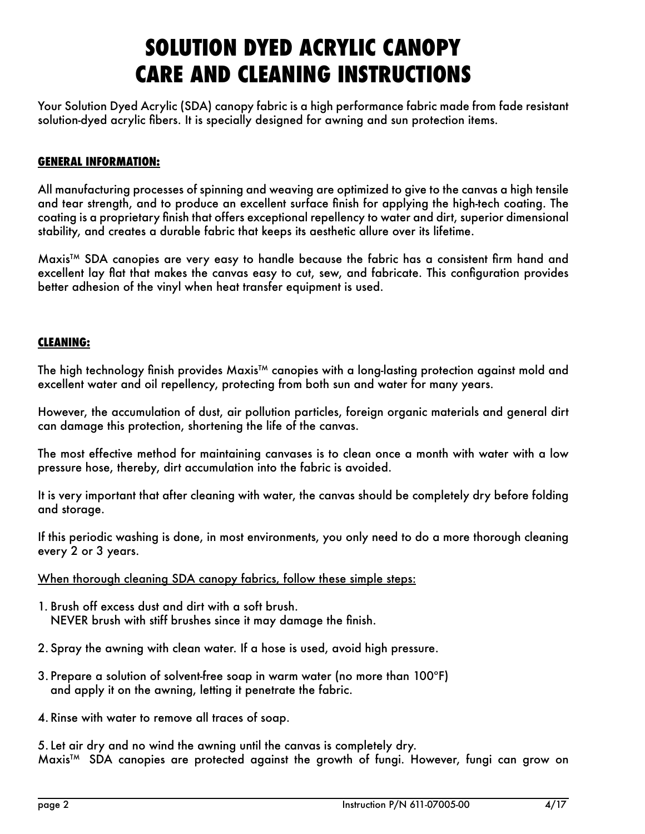# **Solution Dyed ACRYLIC CanopY Care and Cleaning Instructions**

Your Solution Dyed Acrylic (SDA) canopy fabric is a high performance fabric made from fade resistant solution-dyed acrylic fibers. It is specially designed for awning and sun protection items.

#### **General Information:**

All manufacturing processes of spinning and weaving are optimized to give to the canvas a high tensile and tear strength, and to produce an excellent surface finish for applying the high-tech coating. The coating is a proprietary finish that offers exceptional repellency to water and dirt, superior dimensional stability, and creates a durable fabric that keeps its aesthetic allure over its lifetime.

Maxis<sup>TM</sup> SDA canopies are very easy to handle because the fabric has a consistent firm hand and excellent lay flat that makes the canvas easy to cut, sew, and fabricate. This configuration provides better adhesion of the vinyl when heat transfer equipment is used.

#### **Cleaning:**

The high technology finish provides Maxis<sup>TM</sup> canopies with a long-lasting protection against mold and excellent water and oil repellency, protecting from both sun and water for many years.

However, the accumulation of dust, air pollution particles, foreign organic materials and general dirt can damage this protection, shortening the life of the canvas.

The most effective method for maintaining canvases is to clean once a month with water with a low pressure hose, thereby, dirt accumulation into the fabric is avoided.

It is very important that after cleaning with water, the canvas should be completely dry before folding and storage.

If this periodic washing is done, in most environments, you only need to do a more thorough cleaning every 2 or 3 years.

When thorough cleaning SDA canopy fabrics, follow these simple steps:

- 1. Brush off excess dust and dirt with a soft brush. NEVER brush with stiff brushes since it may damage the finish.
- 2. Spray the awning with clean water. If a hose is used, avoid high pressure.
- 3. Prepare a solution of solvent-free soap in warm water (no more than 100ºF) and apply it on the awning, letting it penetrate the fabric.

4. Rinse with water to remove all traces of soap.

5. Let air dry and no wind the awning until the canvas is completely dry. Maxis<sup>™</sup> SDA canopies are protected against the growth of fungi. However, fungi can grow on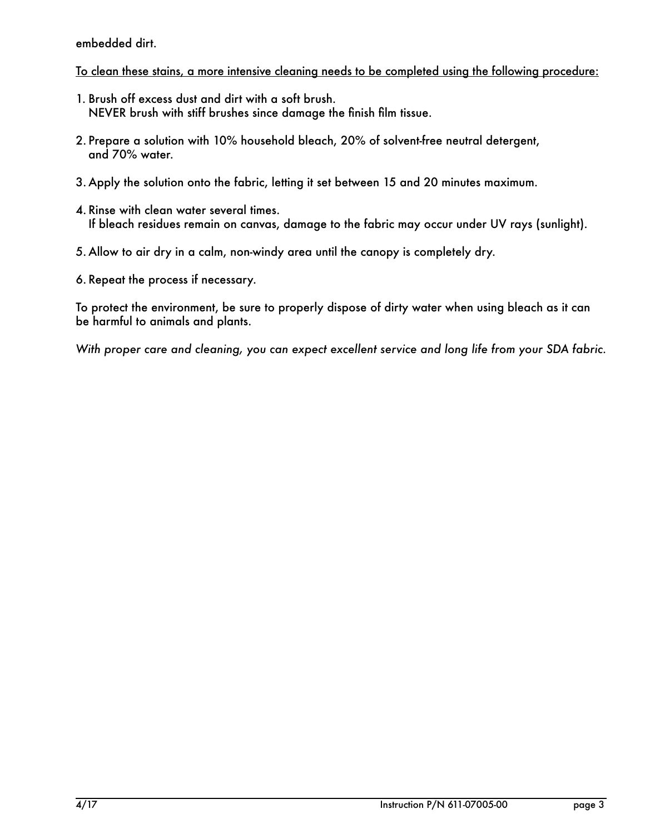embedded dirt.

### To clean these stains, a more intensive cleaning needs to be completed using the following procedure:

- 1. Brush off excess dust and dirt with a soft brush. NEVER brush with stiff brushes since damage the finish film tissue.
- 2. Prepare a solution with 10% household bleach, 20% of solvent-free neutral detergent, and 70% water.
- 3. Apply the solution onto the fabric, letting it set between 15 and 20 minutes maximum.
- 4. Rinse with clean water several times. If bleach residues remain on canvas, damage to the fabric may occur under UV rays (sunlight).
- 5. Allow to air dry in a calm, non-windy area until the canopy is completely dry.
- 6. Repeat the process if necessary.

To protect the environment, be sure to properly dispose of dirty water when using bleach as it can be harmful to animals and plants.

*With proper care and cleaning, you can expect excellent service and long life from your SDA fabric.*